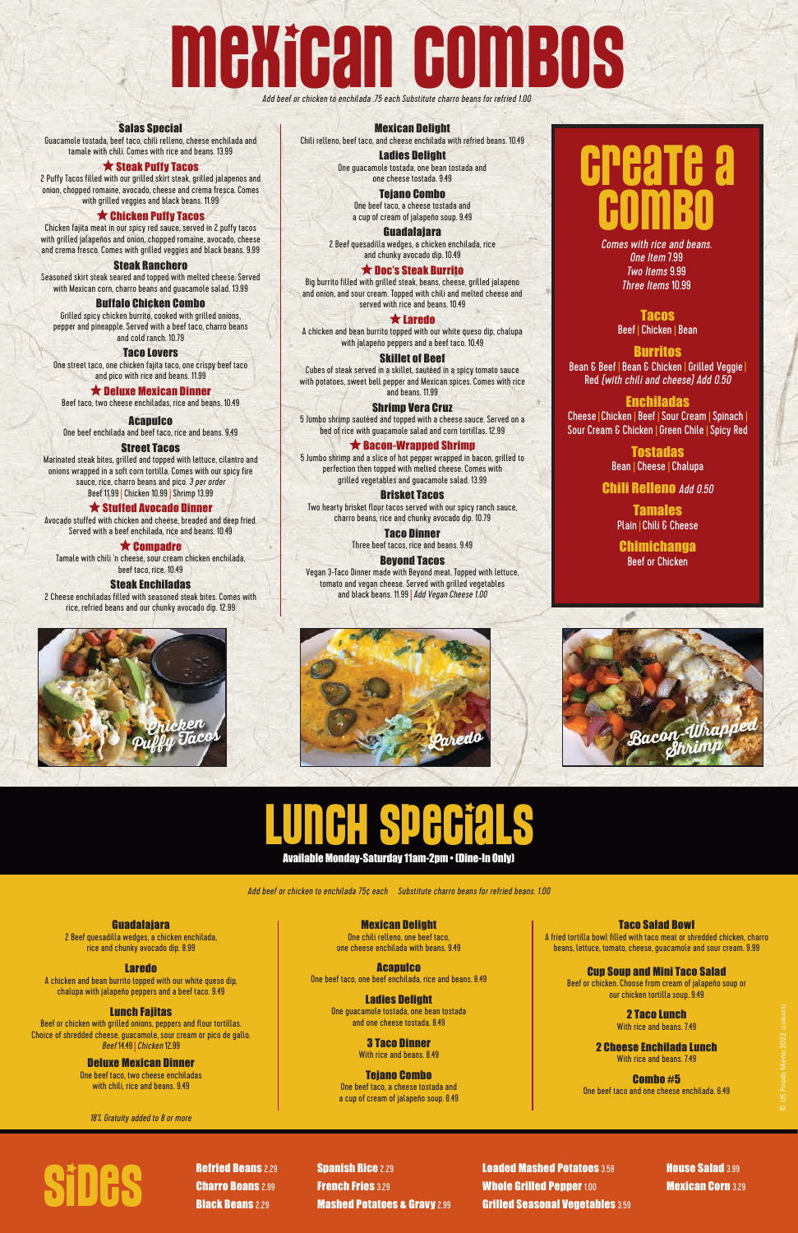# MEXICAN COMPANY

Add beef or chicken to enchilada .75 each Substitute charro beans for refried 1.00

One Item 7.99 Two Items 9.99 Three Items 10.99

#### Salas Special

Guacamole tostada, beef taco, chili relleno, cheese enchilada and tamale with chili. Comes with rice and beans. 13.99

#### $\bigstar$  Steak Puffy Tacos

2 Puffy Tacos filled with our grilled skirt steak, grilled jalapenos and onion, chopped romaine, avocado, cheese and crema fresca. Comes with grilled veggies and black beans. 11.99

#### $\bigstar$  Chicken Puffy Tacos

Chicken fajita meat in our spicy red sauce, served in 2 puffy tacos with grilled jalapeños and onion, chopped romaine, avocado, cheese and crema fresco. Comes with grilled veggies and black beans. 9.99

> **Acapulco** One beef enchilada and beef taco, rice and beans. 9.49

#### Steak Ranchero

Seasoned skirt steak seared and topped with melted cheese. Served with Mexican corn, charro beans and guacamole salad. 13.99

#### Buffalo Chicken Combo

Grilled spicy chicken burrito, cooked with grilled onions, pepper and pineapple. Served with a beef taco, charro beans and cold ranch. 10.79

Taco Lovers

One street taco, one chicken fajita taco, one crispy beef taco and pico with rice and beans. 11.99

 $\bigstar$  Deluxe Mexican Dinner

Beef taco, two cheese enchiladas, rice and beans. 10.49

Street Tacos Marinated steak bites, grilled and topped with lettuce, cilantro and onions wrapped in a soft corn tortilla. Comes with our spicy fire sauce, rice, charro beans and pico. 3 per order Beef 11.99 | Chicken 10.99 | Shrimp 13.99

#### $\bigstar$  Stuffed Avocado Dinner

Avocado stuffed with chicken and cheese, breaded and deep fried. Served with a beef enchilada, rice and beans. 10.49

#### $\bigstar$  Compadre

Vegan 3-Taco Dinner made with Beyond meat. Topped with lettuce, tomato and vegan cheese. Served with grilled vegetables and black beans. 11.99 | Add Vegan Cheese 1.00

Tamale with chili 'n cheese, sour cream chicken enchilada, beef taco, rice. 10.49

#### Steak Enchiladas

2 Cheese enchiladas filled with seasoned steak bites. Comes with rice, refried beans and our chunky avocado dip. 12.99

**Tostadas** Bean | Cheese | Chalupa

Tamales Plain | Chili & Cheese

#### Mexican Delight

Chili relleno, beef taco, and cheese enchilada with refried beans. 10.49

Ladies Delight One guacamole tostada, one bean tostada and

one cheese tostada. 9.49 Tejano Combo One beef taco, a cheese tostada and

a cup of cream of jalapeño soup. 9.49

One beef taco, two cheese enchiladas with chili, rice and beans. 9.49

Guadalajara 2 Beef quesadilla wedges, a chicken enchilada, rice and chunky avocado dip. 10.49

#### **★ Doc's Steak Burrito**

**Acapulco** One beef taco, one beef enchilada, rice and beans. 8.49

Big burrito filled with grilled steak, beans, cheese, grilled jalapeno and onion, and sour cream. Topped with chili and melted cheese and served with rice and beans. 10.49

#### Laredo

A chicken and bean burrito topped with our white queso dip, chalupa with jalapeño peppers and a beef taco. 10.49

#### 2 Cheese Enchilada Lunch With rice and beans. 749

#### Skillet of Beef

Cubes of steak served in a skillet, sautéed in a spicy tomato sauce with potatoes, sweet bell pepper and Mexican spices. Comes with rice and beans. 11.99

Loaded Mashed Potatoes 3.59 Whole Grilled Pepper 1.00 Grilled Seasonal Vegetables 3.59 Expanses and Subsets of the Corn of the Corn of the Corn 3.29<br>
Sinck Beanses and Subsets of the Corn 3.29<br>
Sinck Beanses and Potatoes & Gravy 2.99<br>
Sinck Beanses and Potatoes & Gravy 2.99<br>
Sinck Beanses and Potatoes & Grav

**House Salad 3.99** 

#### Shrimp Vera Cruz

5 Jumbo shrimp sautéed and topped with a cheese sauce. Served on a bed of rice with guacamole salad and corn tortillas. 12.99

#### $\bigstar$  Bacon-Wrapped Shrimp

5 Jumbo shrimp and a slice of hot pepper wrapped in bacon, grilled to perfection then topped with melted cheese. Comes with grilled vegetables and guacamole salad. 13.99

#### Brisket Tacos

Two hearty brisket flour tacos served with our spicy ranch sauce, charro beans, rice and chunky avocado dip. 10.79

> Taco Dinner Three beef tacos, rice and beans. 9.49

#### Beyond Tacos







## **CPEATE A** COMBO

#### Tacos

Beef | Chicken | Bean

#### Burritos

Bean & Beef | Bean & Chicken | Grilled Veggie| Red (with chili and cheese) Add 0.50

#### **Enchiladas**

Cheese|Chicken | Beef | Sour Cream | Spinach | Sour Cream & Chicken | Green Chile | Spicy Red

#### Chili Relleno Add 0.50

Chimichanga Beef or Chicken

#### **Guadalaiara**

2 Beef quesadilla wedges, a chicken enchilada, rice and chunky avocado dip. 8.99

#### Laredo

A chicken and bean burrito topped with our white queso dip, chalupa with jalapeño peppers and a beef taco. 9.49

#### Lunch Fajitas

Beef or chicken with grilled onions, peppers and flour tortillas. Choice of shredded cheese, guacamole, sour cream or pico de gallo. Beef 14.49 |Chicken 12.99

#### Deluxe Mexican Dinner

Mexican Delight

One chili relleno, one beef taco, one cheese enchilada with beans. 9.49

Ladies Delight One guacamole tostada, one bean tostada and one cheese tostada. 8.49

#### 3 Taco Dinner With rice and beans. 8.49

Tejano Combo

One beef taco, a cheese tostada and a cup of cream of jalapeño soup. 8.49

#### Taco Salad Bowl

A fried tortilla bowl filled with taco meat or shredded chicken, charro beans, lettuce, tomato, cheese, guacamole and sour cream. 9.99

#### Cup Soup and Mini Taco Salad

Beef or chicken. Choose from cream of jalapeño soup or our chicken tortilla soup. 9.49

> 2 Taco Lunch With rice and beans. 7.49

Combo #5 One beef taco and one cheese enchilada. 6.49

18% Gratuity added to 8 or more



**Refried Beans 2.29** Charro Beans 2.99 **Black Beans 2.29** 

**Spanish Rice 2.29 French Fries 3.29 Mashed Potatoes & Gravy 2.99** 

Available Monday-Saturday 11am-2pm • (Dine-In Only)

**Special**